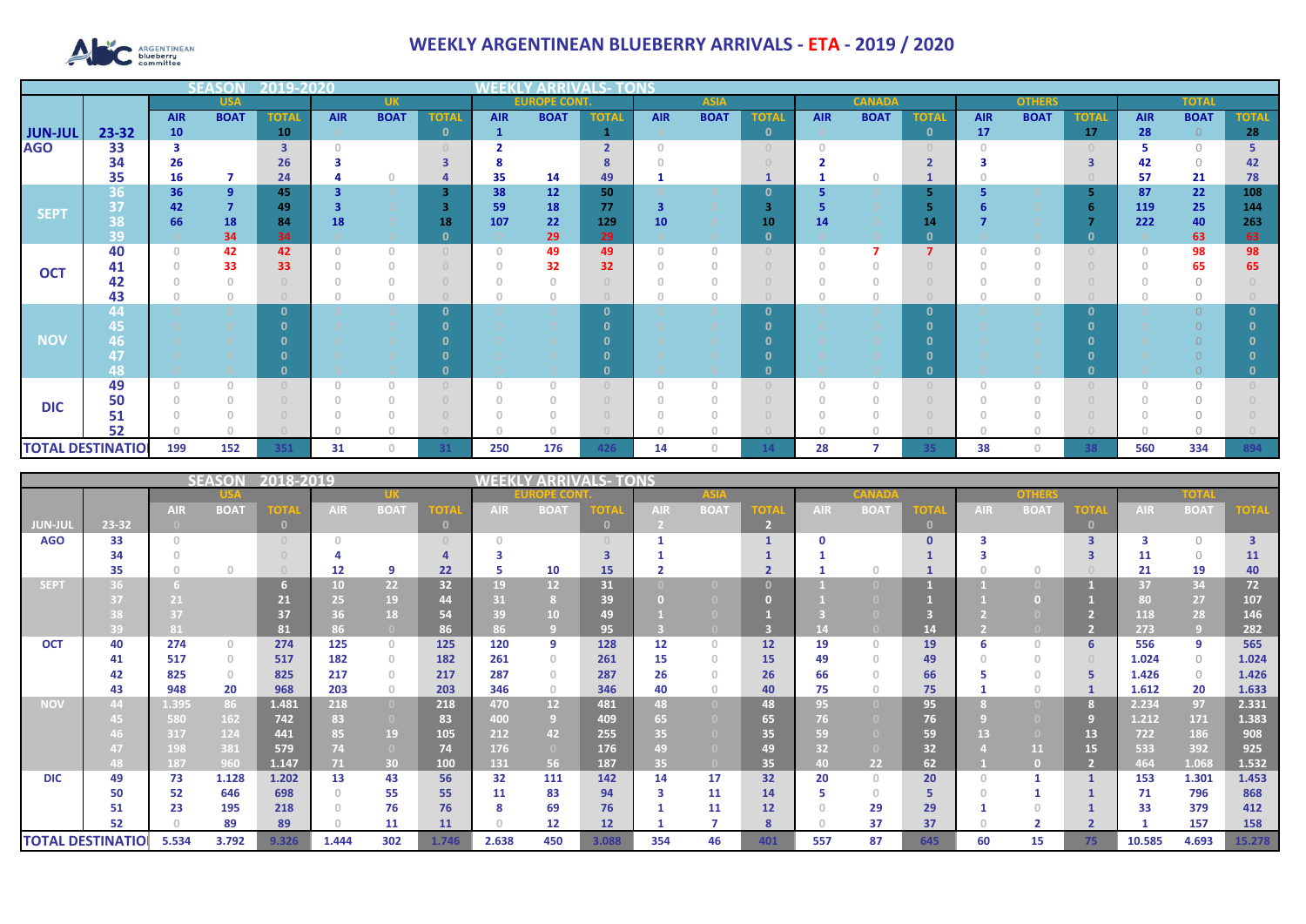

## **WEEKLY ARGENTINEAN BLUEBERRY ARRIVALS - ETA - 2019 / 2020**

|                          |          | <b>SEASOI</b>                                           | 2019-2020      | ∞վ∃∃թ |            |                                       |              |                                       |                     |                          |            |             |              |               |             |                |               |             |              |              |             |              |
|--------------------------|----------|---------------------------------------------------------|----------------|-------|------------|---------------------------------------|--------------|---------------------------------------|---------------------|--------------------------|------------|-------------|--------------|---------------|-------------|----------------|---------------|-------------|--------------|--------------|-------------|--------------|
|                          |          | <b>USA</b><br><b>BOAT</b><br><b>AIR</b><br><b>TOTAL</b> |                |       | <b>UK</b>  |                                       |              |                                       | <b>EUROPE CONT.</b> |                          |            | <b>ASIA</b> |              | <b>CANADA</b> |             |                | <b>OTHERS</b> |             |              | <b>TOTAL</b> |             |              |
|                          |          |                                                         |                |       | <b>AIR</b> | <b>BOAT</b>                           | <b>TOTAL</b> | <b>AIR</b>                            | <b>BOAT</b>         | <b>TOTAL</b>             | <b>AIR</b> | <b>BOAT</b> | <b>TOTAL</b> | <b>AIR</b>    | <b>BOAT</b> | <b>TOTAL</b>   | <b>AIR</b>    | <b>BOAT</b> | <b>TOTAL</b> | <b>AIR</b>   | <b>BOAT</b> | <b>TOTAL</b> |
| <b>JUN-JUL</b>           | 23-32    | 10                                                      |                | 10    |            |                                       | $\mathbf{0}$ |                                       |                     |                          |            |             | $\mathbf{0}$ |               |             | $\mathbf{0}$   | 17            |             | 17           | 28           | $\Omega$    | 28           |
| <b>AGO</b>               | 33       |                                                         |                | 3     |            |                                       | $\Omega$     |                                       |                     | $\overline{\phantom{a}}$ |            |             | $\cap$       |               |             |                |               |             |              |              | $\bigcap$   |              |
|                          | 34       | 26                                                      |                | 26    |            |                                       |              |                                       |                     |                          |            |             |              |               |             |                |               |             |              | 42           | $\cap$      | 42           |
|                          | 35       | 16                                                      | 7              | 24    |            |                                       |              | 35                                    | 14                  | 49                       |            |             |              |               |             |                |               |             |              | 57           | 21          | 78           |
|                          | 36       | 36                                                      | 9              | 45    |            |                                       | 3            | 38                                    | 12                  | 50                       |            |             | $\mathbf{0}$ |               |             | 5              |               |             |              | 87           | 22          | 108          |
| <b>SEPT</b>              | 37       | 42                                                      | $\overline{7}$ | 49    |            |                                       | з            | 59                                    | 18                  | 77                       | -3         |             | З            |               |             |                |               |             |              | 119          | 25          | 144          |
|                          | 38       | 66                                                      | 18             | 84    | 18         |                                       | 18           | 107                                   | 22                  | 129                      | 10         |             | 10           | 14            |             | 14             |               |             |              | 222          | 40          | 263          |
|                          | 39       |                                                         | 34             | 34    |            |                                       | $\mathbf{0}$ |                                       | 29                  | 29                       |            |             | $\mathbf{0}$ |               |             | $\mathbf{0}$   |               |             | - 0          |              | 63          | 63           |
| <b>OCT</b>               | 40       | $\Omega$                                                | 42             | 42    |            | $\begin{array}{c} 0 \\ 0 \end{array}$ | $\cup$       | $\begin{array}{c} 0 \\ 0 \end{array}$ | 49                  | 49                       | $\Omega$   | $\cap$      | $\cap$       |               |             | $\overline{7}$ |               |             |              |              | 98          | 98           |
|                          | 41       |                                                         | 33             | 33    |            | $\cap$                                | $\Box$       | $\Omega$                              | 32                  | 32                       |            |             |              |               |             |                |               |             |              |              | 65          | 65           |
|                          | 42       |                                                         |                |       |            |                                       | $\Box$       |                                       |                     |                          |            |             |              |               |             |                |               |             |              |              |             |              |
|                          | 43       |                                                         | $\theta$       |       |            | $\circ$                               | $\Box$       |                                       |                     |                          |            |             |              |               |             |                |               | 0           |              |              |             |              |
|                          | 44       |                                                         |                |       |            |                                       | $\Omega$     |                                       |                     | n                        |            |             | $\Omega$     |               |             | $\mathbf{0}$   |               |             | - 0          |              |             |              |
|                          | 45,      |                                                         |                |       |            |                                       |              |                                       |                     |                          |            |             | n            |               |             | n              |               |             |              |              |             |              |
| <b>NOV</b>               | 46       |                                                         |                |       |            |                                       |              |                                       |                     |                          |            |             |              |               |             |                |               |             |              |              |             |              |
|                          | 47       |                                                         |                |       |            |                                       |              |                                       |                     |                          |            |             |              |               |             |                |               |             |              |              |             |              |
|                          | 48       | $\cap$                                                  | $\Omega$       |       |            |                                       | $\Omega$     | $\Omega$                              | $\Box$              | n.                       | $\cap$     |             | O            |               |             | $\Omega$       |               | n           |              |              | $\cap$      |              |
|                          | 49       |                                                         |                |       |            | $\begin{array}{c} 0 \\ 0 \end{array}$ | $\Box$       |                                       |                     |                          |            |             |              |               |             |                |               |             |              |              |             |              |
| <b>DIC</b>               | 50       |                                                         |                |       |            |                                       |              |                                       |                     |                          |            |             |              |               |             |                |               |             |              |              |             |              |
|                          | 51<br>52 |                                                         |                |       |            |                                       |              |                                       |                     |                          |            |             |              |               |             |                |               |             |              |              |             |              |
|                          |          |                                                         |                |       |            |                                       |              |                                       |                     |                          |            |             |              |               |             |                |               |             |              |              |             |              |
| <b>TOTAL DESTINATIOL</b> |          | 199                                                     | 152            | 351   | 31         | $\Omega$                              | 31           | 250                                   | 176                 | 426                      | 14         | 0           | 14           | 28            |             | 35             | 38            | O           | 38           | 560          | 334         | 894          |

| 2018-2019<br>SEASON      |       |            |             |                |            |                 |             |            | LS- TONS<br><b>ARRIVAL</b> |            |            |             |                |            |             |              |            |             |      |                 |             |                |
|--------------------------|-------|------------|-------------|----------------|------------|-----------------|-------------|------------|----------------------------|------------|------------|-------------|----------------|------------|-------------|--------------|------------|-------------|------|-----------------|-------------|----------------|
|                          |       |            |             |                |            |                 |             |            |                            |            |            |             |                |            |             |              | оннк       |             |      | TOIZ            |             |                |
|                          |       | <b>AIR</b> | <b>BOAT</b> | <b>TOTAL</b>   | <b>AIR</b> | <b>BOAT</b>     | <b>TOTA</b> | <b>AIR</b> | <b>BOAT</b>                | <b>OTA</b> | <b>AIR</b> | <b>BOAT</b> | <b>TOTA</b>    | <b>AIR</b> | <b>BOAT</b> | <b>TOTA</b>  | <b>AIR</b> | <b>BOAT</b> | тотл | <b>AIR</b>      | <b>BOAT</b> |                |
| JUN-JUI                  | 23-32 |            |             | $\blacksquare$ |            |                 | $\Omega$    |            |                            | $\Omega$   |            |             | $\overline{2}$ |            |             | $\mathbf{0}$ |            |             |      |                 |             |                |
| <b>AGO</b>               | 33    |            |             |                |            |                 |             |            |                            |            |            |             |                |            |             | $\Omega$     |            |             | ∍    |                 | $\bigcap$   | $\overline{3}$ |
|                          | 34    |            |             |                |            |                 |             |            |                            |            |            |             |                |            |             |              |            |             |      | 11              | $\Omega$    | 11             |
|                          | 35    |            | $\cap$      |                | 12         | q               | 22          | 5          | 10                         | 15         |            |             |                |            |             |              |            | $\cap$      |      | 21              | 19          | 40             |
| SEPT                     | 36.   |            |             |                | 10         | 22 <sub>2</sub> | 32          | 19         | 12                         | 31         |            |             |                |            |             |              |            |             |      | 37              | 34          | 72             |
|                          |       |            |             | 21             | 25         | 19              | 44          | 31         |                            | 39         |            |             |                |            |             |              |            |             |      | 80 <sub>1</sub> | 27          | 107            |
|                          |       |            |             | 37             | 36         | 18              | 54          | 39         | 10 <sup>°</sup>            | 49         |            |             |                |            |             |              |            |             |      | 118             | 28          | 146            |
|                          | 39    | 81         |             | 81             | 86         |                 | 86          | 86         |                            | 95         |            |             |                |            |             | 14           |            |             |      | 273             | ر و ا       | 282            |
| <b>OCT</b>               | 40    | 274        | $\circ$     | 274            | 125        | $\circ$         | 125         | 120        | 9                          | 128        | 12         | $\Box$      | 12             | 19         | $\cap$      | 19           | 6          | $\Omega$    | 6    | 556             | 9           | 565            |
|                          | 41    | 517        | $\circ$     | 517            | 182        | $\circ$         | 182         | 261        | $\Omega$                   | 261        | 15         | n           | 15             | 49         | $\cap$      | 49           |            | $\Box$      |      | 1.024           | $\circ$     | 1.024          |
|                          | 42    | 825        | $\circ$     | 825            | 217        | $\Omega$        | 217         | 287        |                            | 287        | 26         |             | 26             | 66         |             | 66           |            |             |      | 1.426           | $\circ$     | 1.426          |
|                          | 43    | 948        | 20          | 968            | 203        | $\circ$         | 203         | 346        | $\circ$                    | 346        | 40         |             | 40             | 75         |             | 75           |            | $\Box$      |      | 1.612           | 20          | 1.633          |
| <b>NOV</b>               | 44    | 1.395      | 86          | 1.481          | 218        | $\overline{0}$  | 218         | 470        | 12 <sup>7</sup>            | 481        | 48         |             | 48             | 95         |             | 95           |            |             |      | 2.234           | 97          | 2.331          |
|                          |       | 580        | 162         | 742            | 83         | $\Box$          | 83          | 400        | -9                         | 409        | 65         |             | 65             | 76         |             | 76           |            |             | 9    | 1.212           | 171         | 1.383          |
|                          |       | 317        | 124         | 441            | 85         | 19              | 105         | 212        | 42                         | 255        | 35         |             | 35             | 59         |             | 59           |            |             | 13   | 722             | 186         | 908            |
|                          |       | 198        | 381         | 579            | 74         | $\overline{0}$  | 74          | 176        | $\Box$                     | 176        | 49         |             | 49             | 32         |             | 32           |            | 11          | 15   | 533             | 392         | 925            |
|                          | 48    | 187        | 960         | 1.147          | 71.        | 30              | 100         | 131        | 56                         | 187        | 35         |             | 35             | 40         | 22          | 62           |            |             |      | 464             | 1.068       | 1.532          |
| <b>DIC</b>               | 49    | 73         | 1.128       | 1.202          | 13         | 43              | 56          | 32         | 111                        | 142        | 14         | 17          | 32             | 20         | $\Omega$    | 20           |            |             |      | 153             | 1.301       | 1.453          |
|                          | 50    | 52         | 646         | 698            |            | 55              | 55          | 11         | 83                         | 94         | 3          | 11          | 14             |            | 0           | 5            |            |             |      | 71              | 796         | 868            |
|                          | 51    | 23         | 195         | 218            |            | 76              | 76          | 8          | 69                         | 76         |            | 11          | 12             |            | 29          | 29           |            |             |      | 33              | 379         | 412            |
|                          | 52    |            | 89          | 89             |            | 11              | 11          |            | 12                         | 12         |            |             | 8              |            | 37          | 37           |            |             |      |                 | 157         | 158            |
| <b>TOTAL DESTINATIOI</b> |       | 5.534      | 3.792       | 9.326          | 1.444      | 302             | 1.746       | 2.638      | 450                        | 3.088      | 354        | 46          | 401            | 557        | 87          | 645          | 60         | 15          | 75   | 10.585          | 4.693       | 15.278         |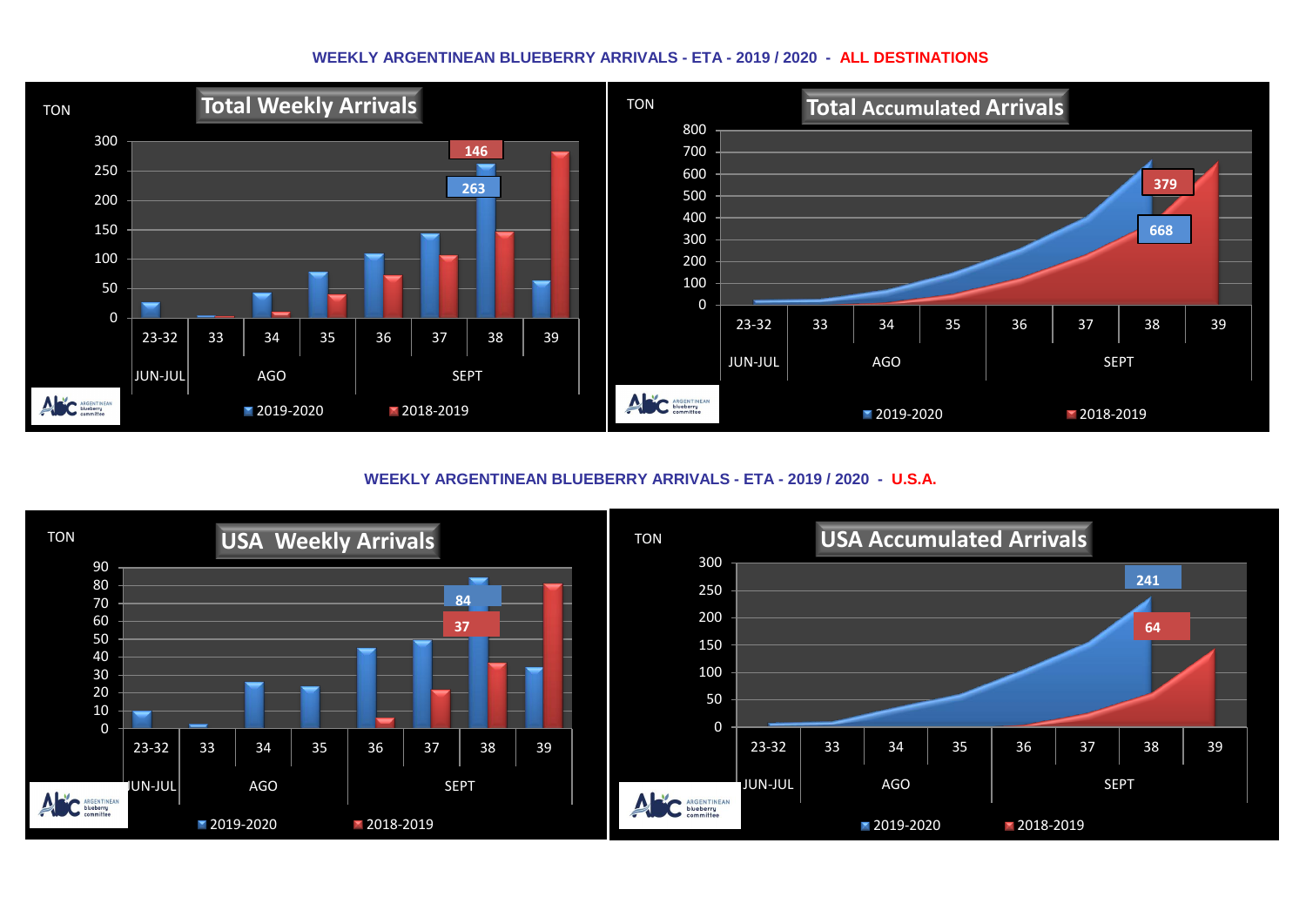## **WEEKLY ARGENTINEAN BLUEBERRY ARRIVALS - ETA - 2019 / 2020 - ALL DESTINATIONS**



**WEEKLY ARGENTINEAN BLUEBERRY ARRIVALS - ETA - 2019 / 2020 - U.S.A.**

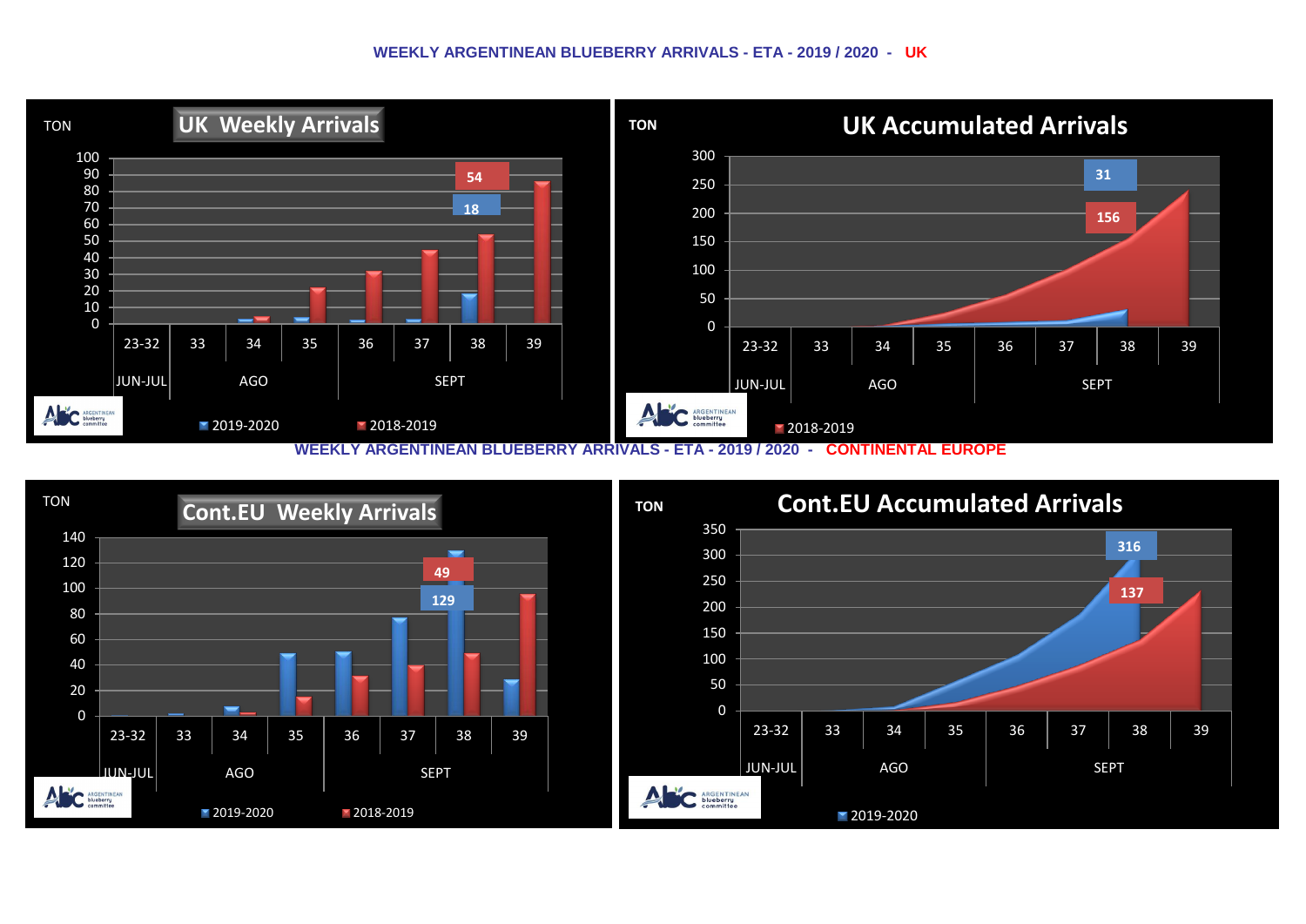## **WEEKLY ARGENTINEAN BLUEBERRY ARRIVALS - ETA - 2019 / 2020 - UK**